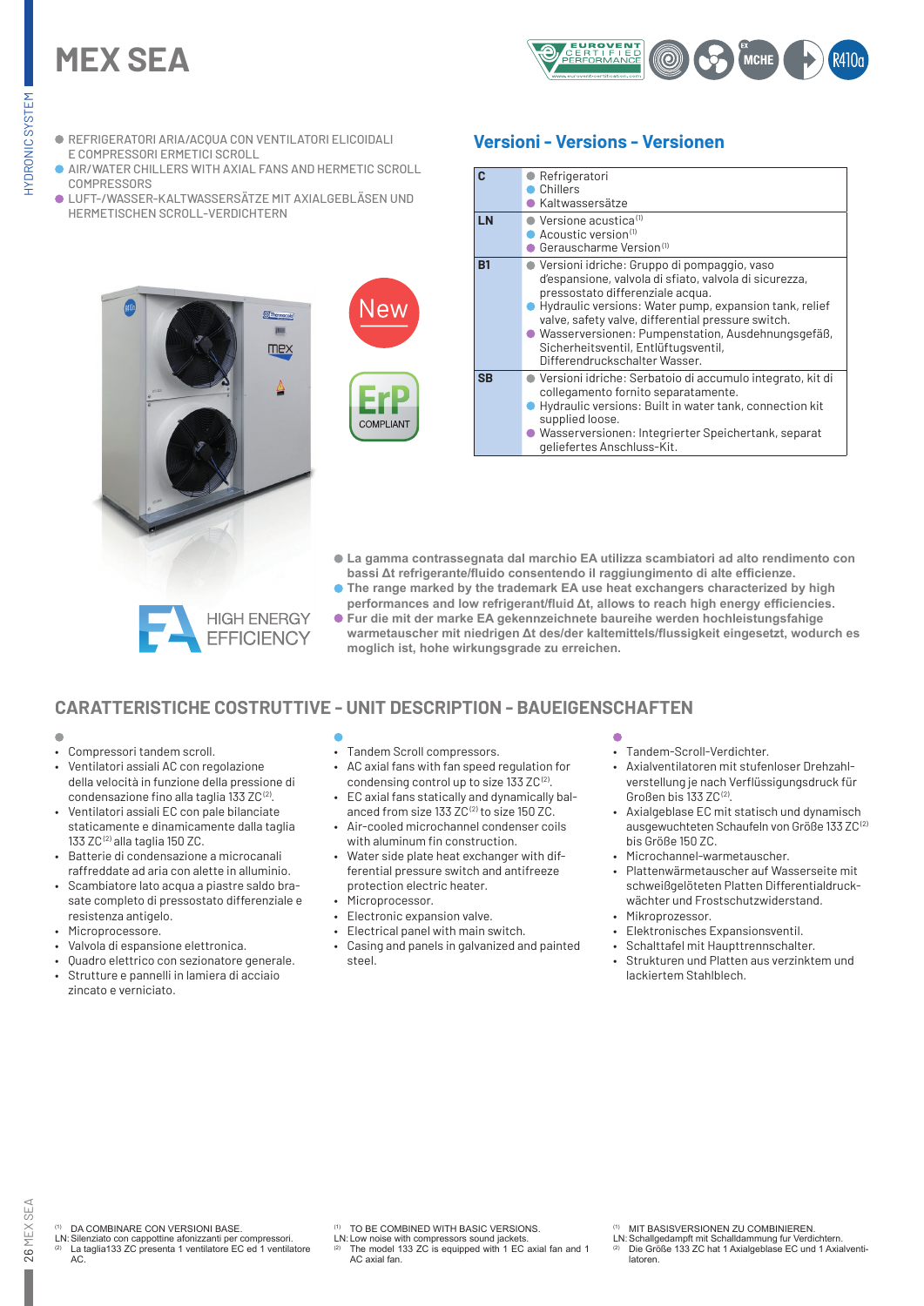# **MEX SEA**



- REFRIGERATORI ARIA/ACQUA CON VENTILATORI ELICOIDALI E COMPRESSORI ERMETICI SCROLL
- AIR/WATER CHILLERS WITH AXIAL FANS AND HERMETIC SCROLL **COMPRESSORS**
- LUFT-/WASSER-KALTWASSERSÄTZE MIT AXIALGEBLÄSEN UND HERMETISCHEN SCROLL-VERDICHTERN





## **Versioni - Versions - Versionen**

| $\mathbf{c}$<br>LN | Refrigeratori<br>Chillers<br>Kaltwassersätze<br>$\bullet$ Versione acustica <sup>(1)</sup><br>$\bullet$ Acoustic version $^{\text{\tiny{(1)}}}$<br>Gerauscharme Version <sup>(1)</sup>                                                                                                                                                                                                      |
|--------------------|---------------------------------------------------------------------------------------------------------------------------------------------------------------------------------------------------------------------------------------------------------------------------------------------------------------------------------------------------------------------------------------------|
| B <sub>1</sub>     | ● Versioni idriche: Gruppo di pompaggio, vaso<br>d'espansione, valvola di sfiato, valvola di sicurezza,<br>pressostato differenziale acqua.<br>Hydraulic versions: Water pump, expansion tank, relief<br>valve, safety valve, differential pressure switch.<br>● Wasserversionen: Pumpenstation, Ausdehnungsgefäß,<br>Sicherheitsventil, Entlüftugsventil,<br>Differendruckschalter Wasser. |
| <b>SB</b>          | ● Versioni idriche: Serbatoio di accumulo integrato, kit di<br>collegamento fornito separatamente.<br>Hydraulic versions: Built in water tank, connection kit<br>supplied loose.<br>Wasserversionen: Integrierter Speichertank, separat<br>geliefertes Anschluss-Kit.                                                                                                                       |

- **La gamma contrassegnata dal marchio EA utilizza scambiatori ad alto rendimento con bassi Δt refrigerante/fluido consentendo il raggiungimento di alte efficienze.**
- **The range marked by the trademark EA use heat exchangers characterized by high performances and low refrigerant/fluid Δt, allows to reach high energy efficiencies.**
- **Fur die mit der marke EA gekennzeichnete baureihe werden hochleistungsfahige warmetauscher mit niedrigen Δt des/der kaltemittels/flussigkeit eingesetzt, wodurch es moglich ist, hohe wirkungsgrade zu erreichen.**

# **CARATTERISTICHE COSTRUTTIVE - UNIT DESCRIPTION - BAUEIGENSCHAFTEN**

#### ò

- Compressori tandem scroll.
- Ventilatori assiali AC con regolazione della velocità in funzione della pressione di condensazione fino alla taglia 133 ZC (2).
- Ventilatori assiali EC con pale bilanciate staticamente e dinamicamente dalla taglia 133 ZC (2) alla taglia 150 ZC.
- Batterie di condensazione a microcanali raffreddate ad aria con alette in alluminio.
- Scambiatore lato acqua a piastre saldo brasate completo di pressostato differenziale e resistenza antigelo.
- Microprocessore.
- Valvola di espansione elettronica.
- Quadro elettrico con sezionatore generale.
- Strutture e pannelli in lamiera di acciaio zincato e verniciato.
- Tandem Scroll compressors.
- AC axial fans with fan speed regulation for condensing control up to size 133 ZC<sup>(2)</sup>.
- EC axial fans statically and dynamically balanced from size 133  $ZC^{(2)}$  to size 150  $ZC$ .
- Air-cooled microchannel condenser coils with aluminum fin construction.
- Water side plate heat exchanger with differential pressure switch and antifreeze protection electric heater.
- Microprocessor.
- Electronic expansion valve.
- Electrical panel with main switch.
- Casing and panels in galvanized and painted steel.

- Tandem-Scroll-Verdichter.
- Axialventilatoren mit stufenloser Drehzahlverstellung je nach Verflüssigungsdruck für Großen bis 133 ZC (2).
- Axialgeblase EC mit statisch und dynamisch ausgewuchteten Schaufeln von Größe 133 ZC (2) bis Größe 150 ZC.
- Microchannel-warmetauscher.
- Plattenwärmetauscher auf Wasserseite mit schweißgelöteten Platten Differentialdruckwächter und Frostschutzwiderstand.
- Mikroprozessor.
- Elektronisches Expansionsventil.
- Schalttafel mit Haupttrennschalter. • Strukturen und Platten aus verzinktem und lackiertem Stahlblech.

- DA COMBINARE CON VERSIONI BASE.
- LN: Silenziato con cappottine afonizzanti per compressori.<br><sup>(2)</sup> La taglia133 ZC presenta 1 ventilatore EC ed 1 ventilatore AC.

TO BE COMBINED WITH BASIC VERSIONS.

- LN: Low noise with compressors sound jackets.<br>(2) The model 133 ZC is equipped with 1 EC axial fan and 1 AC axial fan.
- (1) MIT BASISVERSIONEN ZU COMBINIEREN.
- LN: Schallgedampft mit Schalldammung fur Verdichtern.<br><sup>(2)</sup> Die Größe 133 ZC hat 1 Axialgeblase EC und 1 Axialventilatoren.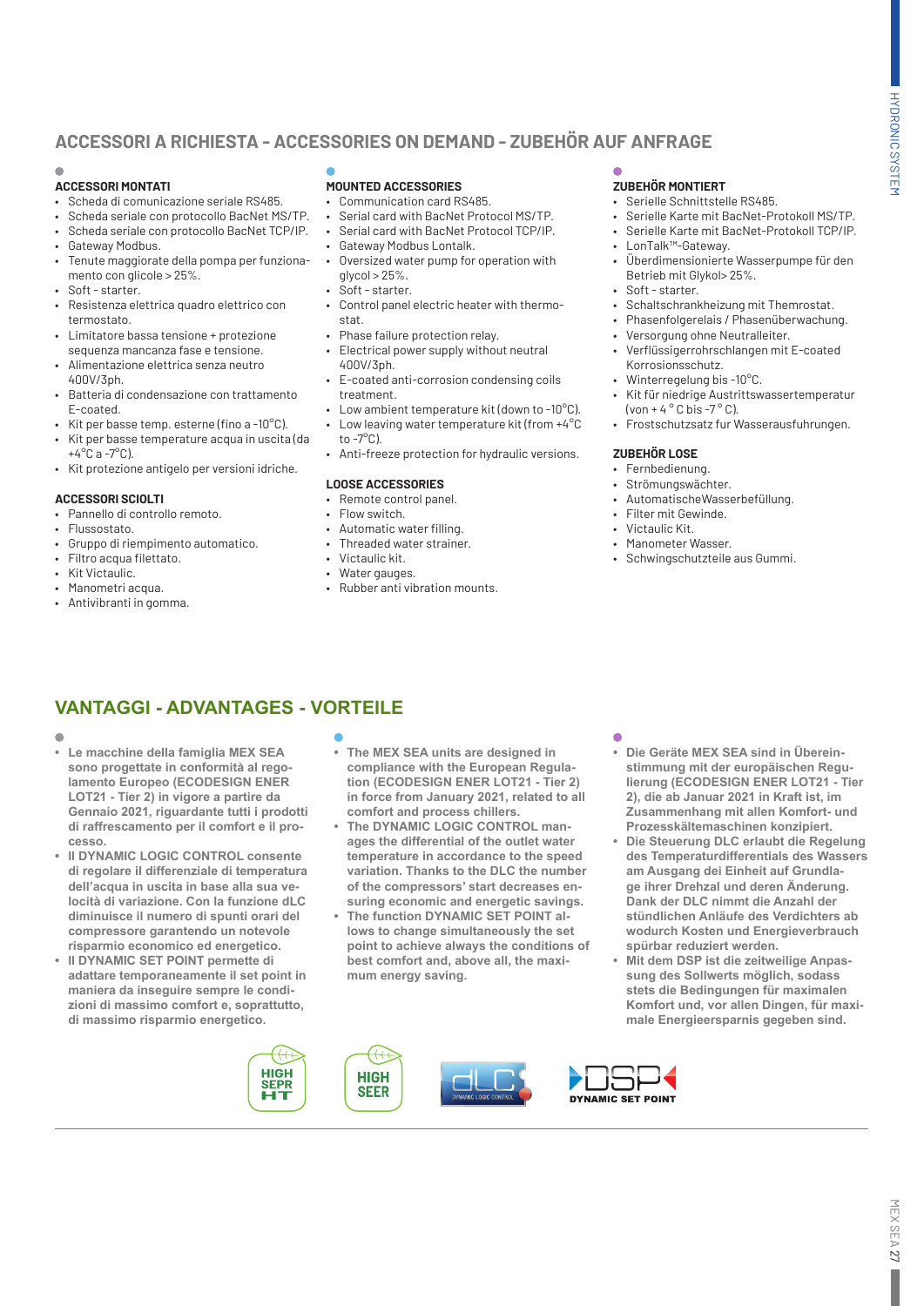# **ACCESSORI A RICHIESTA - ACCESSORIES ON DEMAND - ZUBEHÖR AUF ANFRAGE**

## **ACCESSORI MONTATI**

- Scheda di comunicazione seriale RS485.
- Scheda seriale con protocollo BacNet MS/TP.
- Scheda seriale con protocollo BacNet TCP/IP.
- Gateway Modbus.
- Tenute maggiorate della pompa per funzionamento con glicole > 25%.
- Soft starter.
- Resistenza elettrica quadro elettrico con termostato.
- Limitatore bassa tensione + protezione sequenza mancanza fase e tensione.
- Alimentazione elettrica senza neutro 400V/3ph.
- Batteria di condensazione con trattamento E-coated.
- Kit per basse temp. esterne (fino a -10°C).
- Kit per basse temperature acqua in uscita (da  $+4^{\circ}$ C a -7 $^{\circ}$ C).
- Kit protezione antigelo per versioni idriche.

#### **ACCESSORI SCIOLTI**

- Pannello di controllo remoto.
- Flussostato.
- Gruppo di riempimento automatico.
- Filtro acqua filettato.
- Kit Victaulic.
- Manometri acqua.
- Antivibranti in gomma.

#### **MOUNTED ACCESSORIES**

- Communication card RS485.
- Serial card with BacNet Protocol MS/TP.
- Serial card with BacNet Protocol TCP/IP.
- Gateway Modbus Lontalk.
- Oversized water pump for operation with  $q$ lycol  $>$  25%.
- Soft starter.
- Control panel electric heater with thermostat.
- Phase failure protection relay.
- Electrical power supply without neutral 400V/3ph.
- E-coated anti-corrosion condensing coils treatment.
- Low ambient temperature kit (down to -10°C).
- Low leaving water temperature kit (from +4°C
- to  $-7^\circ$ C). • Anti-freeze protection for hydraulic versions.

#### **LOOSE ACCESSORIES**

- Remote control panel.
- Flow switch.
- Automatic water filling.
- Threaded water strainer.
- Victaulic kit.
- Water gauges.
- Rubber anti vibration mounts.

## **ZUBEHÖR MONTIERT**

- Serielle Schnittstelle RS485.
- Serielle Karte mit BacNet-Protokoll MS/TP.
- Serielle Karte mit BacNet-Protokoll TCP/IP.
- LonTalk™-Gateway.
- Überdimensionierte Wasserpumpe für den Betrieb mit Glykol> 25%.
- Soft starter.
- Schaltschrankheizung mit Themrostat.
- Phasenfolgerelais / Phasenüberwachung.
- Versorgung ohne Neutralleiter.
- Verflüssigerrohrschlangen mit E-coated Korrosionsschutz.
- Winterregelung bis -10°C.
- Kit für niedrige Austrittswassertemperatur (von + 4  $\degree$  C bis -7  $\degree$  C).
- Frostschutzsatz fur Wasserausfuhrungen.

#### **ZUBEHÖR LOSE**

- Fernbedienung.
- Strömungswächter.
- AutomatischeWasserbefüllung.
- Filter mit Gewinde.
- Victaulic Kit.
- Manometer Wasser.
- Schwingschutzteile aus Gummi.

# **VANTAGGI - ADVANTAGES - VORTEILE**

- $\blacksquare$
- **• Le macchine della famiglia MEX SEA sono progettate in conformità al regolamento Europeo (ECODESIGN ENER LOT21 - Tier 2) in vigore a partire da Gennaio 2021, riguardante tutti i prodotti di raffrescamento per il comfort e il processo.**
- **• Il DYNAMIC LOGIC CONTROL consente di regolare il differenziale di temperatura dell'acqua in uscita in base alla sua velocità di variazione. Con la funzione dLC diminuisce il numero di spunti orari del compressore garantendo un notevole risparmio economico ed energetico.**
- **• Il DYNAMIC SET POINT permette di adattare temporaneamente il set point in maniera da inseguire sempre le condizioni di massimo comfort e, soprattutto, di massimo risparmio energetico.**
- **• The MEX SEA units are designed in compliance with the European Regulation (ECODESIGN ENER LOT21 - Tier 2) in force from January 2021, related to all comfort and process chillers.**
- **• The DYNAMIC LOGIC CONTROL manages the differential of the outlet water temperature in accordance to the speed variation. Thanks to the DLC the number of the compressors' start decreases ensuring economic and energetic savings.**
- **• The function DYNAMIC SET POINT allows to change simultaneously the set point to achieve always the conditions of best comfort and, above all, the maximum energy saving.**

- **• Die Geräte MEX SEA sind in Übereinstimmung mit der europäischen Regulierung (ECODESIGN ENER LOT21 - Tier 2), die ab Januar 2021 in Kraft ist, im Zusammenhang mit allen Komfort- und Prozesskältemaschinen konzipiert.**
- **• Die Steuerung DLC erlaubt die Regelung des Temperaturdifferentials des Wassers am Ausgang dei Einheit auf Grundlage ihrer Drehzal und deren Änderung. Dank der DLC nimmt die Anzahl der stündlichen Anläufe des Verdichters ab wodurch Kosten und Energieverbrauch spürbar reduziert werden.**
- **• Mit dem DSP ist die zeitweilige Anpassung des Sollwerts möglich, sodass stets die Bedingungen für maximalen Komfort und, vor allen Dingen, für maximale Energieersparnis gegeben sind.**

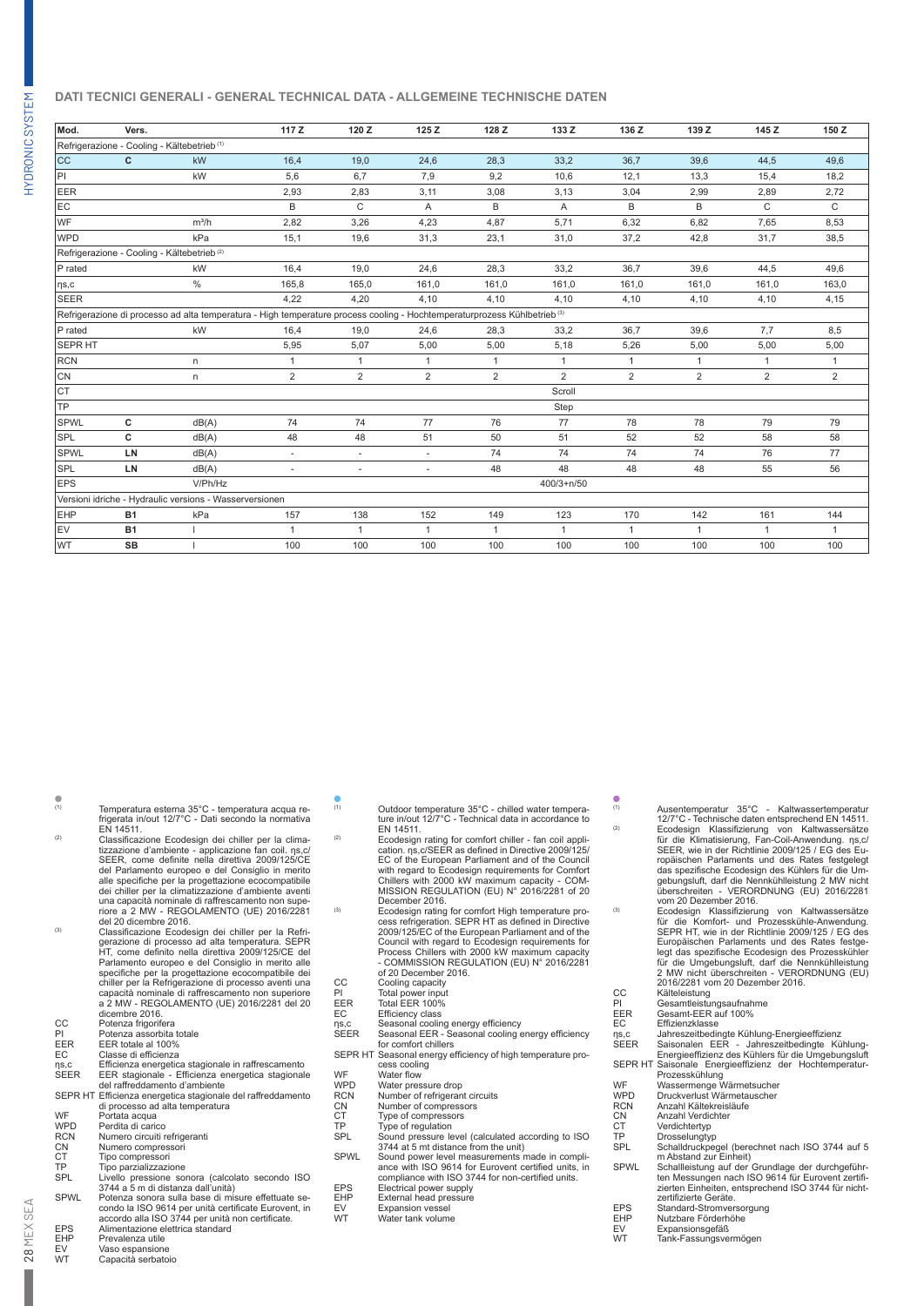## **DATI TECNICI GENERALI - GENERAL TECHNICAL DATA - ALLGEMEINE TECHNISCHE DATEN**

| Mod.           | Vers.     |                                                                                                                                      | 117Z           | 120 Z          | 125Z                     | 128 Z          | 133 Z          | 136 Z          | 139 Z          | 145 Z          | 150 Z          |
|----------------|-----------|--------------------------------------------------------------------------------------------------------------------------------------|----------------|----------------|--------------------------|----------------|----------------|----------------|----------------|----------------|----------------|
|                |           | Refrigerazione - Cooling - Kältebetrieb <sup>(1)</sup>                                                                               |                |                |                          |                |                |                |                |                |                |
| <b>CC</b>      | c         | kW                                                                                                                                   | 16,4           | 19,0           | 24,6                     | 28,3           | 33,2           | 36,7           | 39.6           | 44,5           | 49.6           |
| PI             |           | kW                                                                                                                                   | 5,6            | 6,7            | 7,9                      | 9,2            | 10,6           | 12,1           | 13,3           | 15,4           | 18,2           |
| EER            |           |                                                                                                                                      | 2,93           | 2,83           | 3,11                     | 3,08           | 3,13           | 3,04           | 2,99           | 2,89           | 2,72           |
| EC             |           |                                                                                                                                      | B              | C              | A                        | B              | A              | B              | B              | $\mathsf{C}$   | C.             |
| WF             |           | $m^3/h$                                                                                                                              | 2,82           | 3,26           | 4,23                     | 4,87           | 5,71           | 6,32           | 6,82           | 7,65           | 8,53           |
| <b>WPD</b>     |           | kPa                                                                                                                                  | 15,1           | 19,6           | 31,3                     | 23,1           | 31,0           | 37,2           | 42,8           | 31,7           | 38,5           |
|                |           | Refrigerazione - Cooling - Kältebetrieb <sup>(2)</sup>                                                                               |                |                |                          |                |                |                |                |                |                |
| P rated        |           | kW                                                                                                                                   | 16,4           | 19,0           | 24,6                     | 28,3           | 33,2           | 36.7           | 39,6           | 44,5           | 49,6           |
| $\eta s,c$     |           | $\frac{0}{0}$                                                                                                                        | 165,8          | 165,0          | 161,0                    | 161,0          | 161,0          | 161,0          | 161,0          | 161,0          | 163,0          |
| <b>SEER</b>    |           |                                                                                                                                      | 4.22           | 4.20           | 4.10                     | 4.10           | 4.10           | 4.10           | 4.10           | 4,10           | 4,15           |
|                |           | Refrigerazione di processo ad alta temperatura - High temperature process cooling - Hochtemperaturprozess Kühlbetrieb <sup>(3)</sup> |                |                |                          |                |                |                |                |                |                |
| P rated        |           | kW                                                                                                                                   | 16,4           | 19,0           | 24,6                     | 28,3           | 33,2           | 36,7           | 39,6           | 7,7            | 8,5            |
| <b>SEPR HT</b> |           |                                                                                                                                      | 5.95           | 5,07           | 5,00                     | 5,00           | 5,18           | 5,26           | 5,00           | 5,00           | 5,00           |
| <b>RCN</b>     |           | n                                                                                                                                    | $\mathbf{1}$   | $\mathbf{1}$   | 1                        | $\mathbf{1}$   | $\mathbf{1}$   | $\overline{1}$ | $\mathbf{1}$   | $\mathbf{1}$   | $\mathbf{1}$   |
| CN             |           | n.                                                                                                                                   | $\overline{2}$ | $\overline{2}$ | $\overline{2}$           | $\overline{2}$ | $\overline{2}$ | 2              | $\overline{2}$ | $\overline{2}$ | $\overline{2}$ |
| <b>CT</b>      |           |                                                                                                                                      |                |                |                          |                | Scroll         |                |                |                |                |
| TP             |           |                                                                                                                                      |                |                |                          |                | Step           |                |                |                |                |
| <b>SPWL</b>    | c         | dB(A)                                                                                                                                | 74             | 74             | 77                       | 76             | 77             | 78             | 78             | 79             | 79             |
| <b>SPL</b>     | c         | dB(A)                                                                                                                                | 48             | 48             | 51                       | 50             | 51             | 52             | 52             | 58             | 58             |
| <b>SPWL</b>    | LN        | dB(A)                                                                                                                                | ٠              | ٠              | $\sim$                   | 74             | 74             | 74             | 74             | 76             | 77             |
| SPL            | LN        | dB(A)                                                                                                                                | $\sim$         | $\sim$         | $\overline{\phantom{a}}$ | 48             | 48             | 48             | 48             | 55             | 56             |
| <b>EPS</b>     |           | V/Ph/Hz                                                                                                                              |                |                |                          |                | $400/3 + n/50$ |                |                |                |                |
|                |           | Versioni idriche - Hydraulic versions - Wasserversionen                                                                              |                |                |                          |                |                |                |                |                |                |
| <b>EHP</b>     | <b>B1</b> | kPa                                                                                                                                  | 157            | 138            | 152                      | 149            | 123            | 170            | 142            | 161            | 144            |
| EV             | <b>B1</b> |                                                                                                                                      | $\mathbf{1}$   | 1              | $\mathbf{1}$             | $\mathbf{1}$   | $\mathbf{1}$   | $\overline{1}$ |                | 1              | $\mathbf{1}$   |
| <b>WT</b>      | <b>SB</b> |                                                                                                                                      | 100            | 100            | 100                      | 100            | 100            | 100            | 100            | 100            | 100            |

| (1)                    | Temperatura esterna 35°C - temperatura acqua re-                                                     | (1)    |
|------------------------|------------------------------------------------------------------------------------------------------|--------|
|                        | frigerata in/out 12/7°C - Dati secondo la normativa                                                  |        |
|                        | EN 14511.                                                                                            |        |
| (2)                    | Classificazione Ecodesign dei chiller per la clima-                                                  | (2)    |
|                        | tizzazione d'ambiente - applicazione fan coil. ns, c/                                                |        |
|                        | SEER, come definite nella direttiva 2009/125/CE                                                      |        |
|                        | del Parlamento europeo e del Consiglio in merito                                                     |        |
|                        | alle specifiche per la progettazione ecocompatibile                                                  |        |
|                        | dei chiller per la climatizzazione d'ambiente aventi                                                 |        |
|                        | una capacità nominale di raffrescamento non supe-                                                    | (3)    |
|                        | riore a 2 MW - REGOLAMENTO (UE) 2016/2281                                                            |        |
| (3)                    | del 20 dicembre 2016.                                                                                |        |
|                        | Classificazione Ecodesign dei chiller per la Refri-                                                  |        |
|                        | gerazione di processo ad alta temperatura. SEPR<br>HT, come definito nella direttiva 2009/125/CE del |        |
|                        | Parlamento europeo e del Consiglio in merito alle                                                    |        |
|                        | specifiche per la progettazione ecocompatibile dei                                                   |        |
|                        | chiller per la Refrigerazione di processo aventi una                                                 | C      |
|                        | capacità nominale di raffrescamento non superiore                                                    | P      |
|                        | a 2 MW - REGOLAMENTO (UE) 2016/2281 del 20                                                           | E      |
|                        | dicembre 2016.                                                                                       | Ė      |
| CC                     | Potenza frigorifera                                                                                  |        |
| PI                     | Potenza assorbita totale                                                                             | η<br>S |
| <b>EER</b>             | EER totale al 100%                                                                                   |        |
| EC                     | Classe di efficienza                                                                                 | S      |
| ns,c                   | Efficienza energetica stagionale in raffrescamento                                                   |        |
| <b>SEER</b>            | EER stagionale - Efficienza energetica stagionale                                                    | V      |
|                        | del raffreddamento d'ambiente                                                                        | V      |
|                        | SEPR HT Efficienza energetica stagionale del raffreddamento                                          | R      |
|                        | di processo ad alta temperatura                                                                      | C      |
| <b>WF</b>              | Portata acqua                                                                                        | C      |
| <b>WPD</b>             | Perdita di carico                                                                                    | T      |
| <b>RCN</b>             | Numero circuiti refrigeranti                                                                         | S      |
| <b>CN</b>              | Numero compressori                                                                                   |        |
| <b>CT</b><br><b>TP</b> | Tipo compressori                                                                                     | S      |
| SPI                    | Tipo parzializzazione<br>Livello pressione sonora (calcolato secondo ISO)                            |        |
|                        |                                                                                                      |        |

- SPL Livello pressione sonora (calcolato secondo ISO 3744 a 5 m di distanza dall'unità) SPWL Potenza sonora sulla base di misure effettuate se-
- condo la ISO 9614 per unità certificate Eurovent, in accordo alla ISO 3744 per unità non certificate. EPS Alimentazione elettrica standard
- EHP Prevalenza utile<br>EV Vaso espansione
- EV Vaso espansione<br>
WT Capacità serbato Capacità serbatoio
- 
- (1) Outdoor temperature 35°C chilled water tempera-ture in/out 12/7°C Technical data in accordance to EN 14511.
- <sup>(2)</sup> Ecodesign rating for comfort chiller fan coil appli-<br>cation. ηs,c/SEER as defined in Directive 2009/125/ EC of the European Parliament and of the Council with regard to Ecodesign requirements for Comfort Chillers with 2000 kW maximum capacity - COM-MISSION REGULATION (EU) N° 2016/2281 of 20 December 2016.
- (3) Ecodesign rating for comfort High temperature pro-cess refrigeration. SEPR HT as defined in Directive 2009/125/EC of the European Parliament and of the Council with regard to Ecodesign requirements for Process Chillers with 2000 kW maximum capacity - COMMISSION REGULATION (EU) N° 2016/2281 of 20 December 2016.
- CC Cooling capacity
- 
- PI Total power input EER Total EER 100%
- 
- 
- EC Efficiency class<br>ηs,c Seasonal cooling energy efficiency<br>SEER Seasonal EER Seasonal cooling energy efficiency
- for comfort chillers SEPR HT Seasonal energy efficiency of high temperature process cooling<br>WF Water flow<br>WPD Water pressure drop
- 
- 
- RCN Number of refrigerant circuits CN Number of compressors
- 
- 
- CT Type of compressors<br>TP Type of regulation<br>SPL Sound pressure level (calculated according to ISO 3744 at 5 mt distance from the unit)
- SPWL Sound power level measurements made in compli-ance with ISO 9614 for Eurovent certified units, in compliance with ISO 3744 for non-certified units.
- EPS Electrical power supply EHP External head pressure
- EV Expansion vessel<br>WT Water tank volume
- Expansion vessel
- 
- <sup>(2)</sup> Ecodesign Klassifizierung von Kaltwassersätze<br>für die Klimatisierung, Fan-Coil-Anwendung. ηs,c.<br>SEER, wie in der Richtlinie 2009/125 / EG des Europäischen Parlaments und des Rates festgelegt das spezifische Ecodesign des Kühlers für die Um-gebungsluft, darf die Nennkühlleistung 2 MW nicht überschreiten - VERORDNUNG (EU) 2016/2281 vom 20 Dezember 2016.

(1) Ausentemperatur 35°C - Kaltwassertemperatur 12/7°C - Technische daten entsprechend EN 14511.

- <sup>(3)</sup> Ecodesign Klassifizierung von Kaltwassersätze<br>für die Komfort- und Prozesskühle-Anwendung<br>SEPR HT, wie in der Richtlinie 2009/125 / EG des<br>Europäischen Parlaments und des Rates festgelegt das spezifische Ecodesign des Prozesskühler für die Umgebungsluft, darf die Nennkühlleistung 2 MW nicht überschreiten - VERORDNUNG (EU) 2016/2281 vom 20 Dezember 2016. CC Kälteleistung
	-
- PI Gesamtleistungsaufnahme EER Gesamt-EER auf 100% EC Effizienzklasse
	-
- 
- ηs,c Jahreszeitbedingte Kühlung-Energieeffizienz<br>SEER Saisonalen EER Jahreszeitbedingte Kühlung-<br>Energieeffizienz des Kühlers für die Umgebungslufi SEPR HT Saisonale Energieeffizienz der Hochtemperatur-<br>Prozesskühlung<br>WF Wassermenge Wärmetsucher<br>WPD Druckverlust Wärmetauscher
- 
- 
- RCN Anzahl Kältekreisläufe<br>
CN Anzahl Verdichter<br>
CT Verdichtertyp<br>
TP Drosselungtyp
	- Anzahl Verdichter
	- Verdichtertyp
- TP Drosselungtyp<br>SPL Schalldruckner
	- SPL Schalldruckpegel (berechnet nach ISO 3744 auf 5
- m Abstand zur Einheit) SPWL Schallleistung auf der Grundlage der durchgeführ-ten Messungen nach ISO 9614 für Eurovent zertifi-zierten Einheiten, entsprechend ISO 3744 für nichtzierten Emmenen, e
- 
- EPS Standard-Stromversorgung<br>EHP Nutzbare Förderhöhe<br>EV Expansionsgefäß<br>WT Tank-Fassungsvermögen
- EHP Nutzbare Förderhöhe EV Expansionsgefäß
	- Tank-Fassungsvermögen

HYDRONIC SYSTEM HYDRONIC SYSTEM

> 28 MEX SEA 28 MEX SEA

 $\blacksquare$